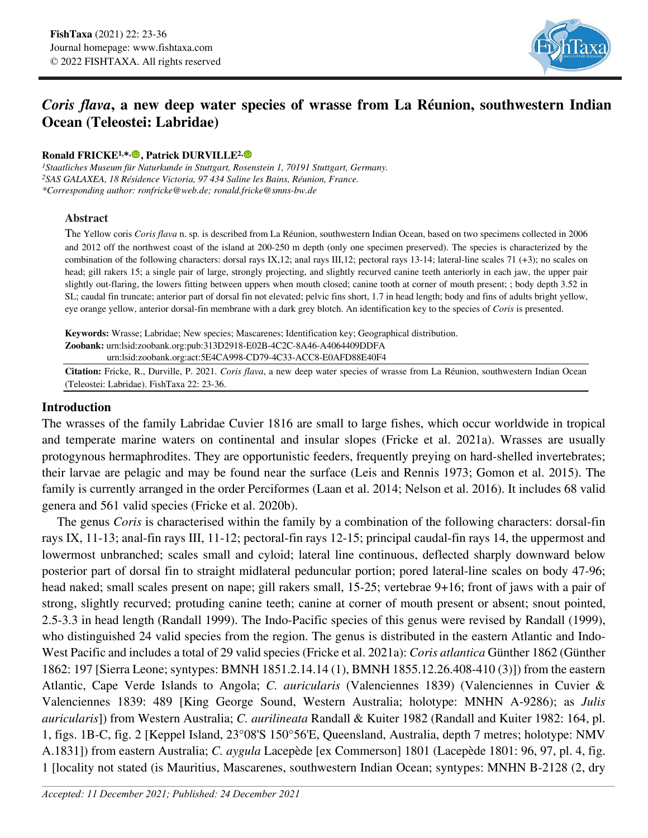

# *Coris flava***, a new deep water species of wrasse from La Réunion, southwestern Indian Ocean (Teleostei: Labridae)**

#### **Ronald FRICKE1,\*, [,](https://orcid.org/0000-0003-1476-6990) Patrick DURVILLE2,**

*1Staatliches Museum für Naturkunde in Stuttgart, Rosenstein 1, 70191 Stuttgart, Germany. 2SAS GALAXEA, 18 Résidence Victoria, 97 434 Saline les Bains, Réunion, France. \*Corresponding author: ronfricke@web.de; ronald.fricke@smns-bw.de*

#### **Abstract**

The Yellow coris *Coris flava* n. sp. is described from La Réunion, southwestern Indian Ocean, based on two specimens collected in 2006 and 2012 off the northwest coast of the island at 200-250 m depth (only one specimen preserved). The species is characterized by the combination of the following characters: dorsal rays IX,12; anal rays III,12; pectoral rays 13-14; lateral-line scales 71 (+3); no scales on head; gill rakers 15; a single pair of large, strongly projecting, and slightly recurved canine teeth anteriorly in each jaw, the upper pair slightly out-flaring, the lowers fitting between uppers when mouth closed; canine tooth at corner of mouth present; ; body depth 3.52 in SL; caudal fin truncate; anterior part of dorsal fin not elevated; pelvic fins short, 1.7 in head length; body and fins of adults bright yellow, eye orange yellow, anterior dorsal-fin membrane with a dark grey blotch. An identification key to the species of *Coris* is presented.

**Keywords:** Wrasse; Labridae; New species; Mascarenes; Identification key; Geographical distribution. **Zoobank:** urn:lsid:zoobank.org:pub:313D2918-E02B-4C2C-8A46-A4064409DDFA

urn:lsid:zoobank.org:act:5E4CA998-CD79-4C33-ACC8-E0AFD88E40F4

**Citation:** Fricke, R., Durville, P. 2021. *Coris flava*, a new deep water species of wrasse from La Réunion, southwestern Indian Ocean (Teleostei: Labridae). FishTaxa 22: 23-36.

# **Introduction**

The wrasses of the family Labridae Cuvier 1816 are small to large fishes, which occur worldwide in tropical and temperate marine waters on continental and insular slopes (Fricke et al. 2021a). Wrasses are usually protogynous hermaphrodites. They are opportunistic feeders, frequently preying on hard-shelled invertebrates; their larvae are pelagic and may be found near the surface (Leis and Rennis 1973; Gomon et al. 2015). The family is currently arranged in the order Perciformes (Laan et al. 2014; Nelson et al. 2016). It includes 68 valid genera and 561 valid species (Fricke et al. 2020b).

The genus *Coris* is characterised within the family by a combination of the following characters: dorsal-fin rays IX, 11-13; anal-fin rays III, 11-12; pectoral-fin rays 12-15; principal caudal-fin rays 14, the uppermost and lowermost unbranched; scales small and cyloid; lateral line continuous, deflected sharply downward below posterior part of dorsal fin to straight midlateral peduncular portion; pored lateral-line scales on body 47-96; head naked; small scales present on nape; gill rakers small, 15-25; vertebrae 9+16; front of jaws with a pair of strong, slightly recurved; protuding canine teeth; canine at corner of mouth present or absent; snout pointed, 2.5-3.3 in head length (Randall 1999). The Indo-Pacific species of this genus were revised by Randall (1999), who distinguished 24 valid species from the region. The genus is distributed in the eastern Atlantic and Indo-West Pacific and includes a total of 29 valid species (Fricke et al. 2021a): *Coris atlantica* Günther 1862 (Günther 1862: 197 [Sierra Leone; syntypes: BMNH 1851.2.14.14 (1), BMNH 1855.12.26.408-410 (3)]) from the eastern Atlantic, Cape Verde Islands to Angola; *C. auricularis* (Valenciennes 1839) (Valenciennes in Cuvier & Valenciennes 1839: 489 [King George Sound, Western Australia; holotype: MNHN A-9286); as *Julis auricularis*]) from Western Australia; *C. aurilineata* Randall & Kuiter 1982 (Randall and Kuiter 1982: 164, pl. 1, figs. 1B-C, fig. 2 [Keppel Island, 23°08'S 150°56'E, Queensland, Australia, depth 7 metres; holotype: NMV A.1831]) from eastern Australia; *C. aygula* Lacepède [ex Commerson] 1801 (Lacepède 1801: 96, 97, pl. 4, fig. 1 [locality not stated (is Mauritius, Mascarenes, southwestern Indian Ocean; syntypes: MNHN B-2128 (2, dry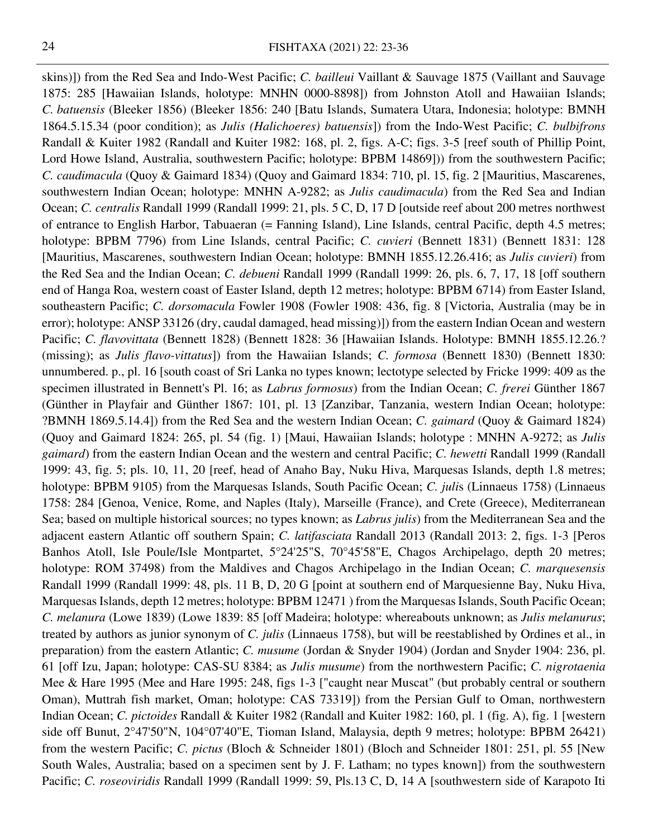skins)]) from the Red Sea and Indo-West Pacific; *C. bailleui* Vaillant & Sauvage 1875 (Vaillant and Sauvage 1875: 285 [Hawaiian Islands, holotype: MNHN 0000-8898]) from Johnston Atoll and Hawaiian Islands; *C. batuensis* (Bleeker 1856) (Bleeker 1856: 240 [Batu Islands, Sumatera Utara, Indonesia; holotype: BMNH 1864.5.15.34 (poor condition); as *Julis (Halichoeres) batuensis*]) from the Indo-West Pacific; *C. bulbifrons* Randall & Kuiter 1982 (Randall and Kuiter 1982: 168, pl. 2, figs. A-C; figs. 3-5 [reef south of Phillip Point, Lord Howe Island, Australia, southwestern Pacific; holotype: BPBM 14869])) from the southwestern Pacific; *C. caudimacula* (Quoy & Gaimard 1834) (Quoy and Gaimard 1834: 710, pl. 15, fig. 2 [Mauritius, Mascarenes, southwestern Indian Ocean; holotype: MNHN A-9282; as *Julis caudimacula*) from the Red Sea and Indian Ocean; *C. centralis* Randall 1999 (Randall 1999: 21, pls. 5 C, D, 17 D [outside reef about 200 metres northwest of entrance to English Harbor, Tabuaeran (= Fanning Island), Line Islands, central Pacific, depth 4.5 metres; holotype: BPBM 7796) from Line Islands, central Pacific; *C. cuvieri* (Bennett 1831) (Bennett 1831: 128 [Mauritius, Mascarenes, southwestern Indian Ocean; holotype: BMNH 1855.12.26.416; as *Julis cuvieri*) from the Red Sea and the Indian Ocean; *C. debueni* Randall 1999 (Randall 1999: 26, pls. 6, 7, 17, 18 [off southern end of Hanga Roa, western coast of Easter Island, depth 12 metres; holotype: BPBM 6714) from Easter Island, southeastern Pacific; *C. dorsomacula* Fowler 1908 (Fowler 1908: 436, fig. 8 [Victoria, Australia (may be in error); holotype: ANSP 33126 (dry, caudal damaged, head missing)]) from the eastern Indian Ocean and western Pacific; *C. flavovittata* (Bennett 1828) (Bennett 1828: 36 [Hawaiian Islands. Holotype: BMNH 1855.12.26.? (missing); as *Julis flavo-vittatus*]) from the Hawaiian Islands; *C. formosa* (Bennett 1830) (Bennett 1830: unnumbered. p., pl. 16 [south coast of Sri Lanka no types known; lectotype selected by Fricke 1999: 409 as the specimen illustrated in Bennett's Pl. 16; as *Labrus formosus*) from the Indian Ocean; *C. frerei* Günther 1867 (Günther in Playfair and Günther 1867: 101, pl. 13 [Zanzibar, Tanzania, western Indian Ocean; holotype: ?BMNH 1869.5.14.4]) from the Red Sea and the western Indian Ocean; *C. gaimard* (Quoy & Gaimard 1824) (Quoy and Gaimard 1824: 265, pl. 54 (fig. 1) [Maui, Hawaiian Islands; holotype : MNHN A-9272; as *Julis gaimard*) from the eastern Indian Ocean and the western and central Pacific; *C. hewetti* Randall 1999 (Randall 1999: 43, fig. 5; pls. 10, 11, 20 [reef, head of Anaho Bay, Nuku Hiva, Marquesas Islands, depth 1.8 metres; holotype: BPBM 9105) from the Marquesas Islands, South Pacific Ocean; *C. juli*s (Linnaeus 1758) (Linnaeus 1758: 284 [Genoa, Venice, Rome, and Naples (Italy), Marseille (France), and Crete (Greece), Mediterranean Sea; based on multiple historical sources; no types known; as *Labrus julis*) from the Mediterranean Sea and the adjacent eastern Atlantic off southern Spain; *C. latifasciata* Randall 2013 (Randall 2013: 2, figs. 1-3 [Peros Banhos Atoll, Isle Poule/Isle Montpartet, 5°24'25"S, 70°45'58"E, Chagos Archipelago, depth 20 metres; holotype: ROM 37498) from the Maldives and Chagos Archipelago in the Indian Ocean; *C. marquesensis* Randall 1999 (Randall 1999: 48, pls. 11 B, D, 20 G [point at southern end of Marquesienne Bay, Nuku Hiva, Marquesas Islands, depth 12 metres; holotype: BPBM 12471 ) from the Marquesas Islands, South Pacific Ocean; *C. melanura* (Lowe 1839) (Lowe 1839: 85 [off Madeira; holotype: whereabouts unknown; as *Julis melanurus*; treated by authors as junior synonym of *C. julis* (Linnaeus 1758), but will be reestablished by Ordines et al., in preparation) from the eastern Atlantic; *C. musume* (Jordan & Snyder 1904) (Jordan and Snyder 1904: 236, pl. 61 [off Izu, Japan; holotype: CAS-SU 8384; as *Julis musume*) from the northwestern Pacific; *C. nigrotaenia* Mee & Hare 1995 (Mee and Hare 1995: 248, figs 1-3 ["caught near Muscat" (but probably central or southern Oman), Muttrah fish market, Oman; holotype: CAS 73319]) from the Persian Gulf to Oman, northwestern Indian Ocean; *C. pictoides* Randall & Kuiter 1982 (Randall and Kuiter 1982: 160, pl. 1 (fig. A), fig. 1 [western side off Bunut, 2°47'50"N, 104°07'40"E, Tioman Island, Malaysia, depth 9 metres; holotype: BPBM 26421) from the western Pacific; *C. pictus* (Bloch & Schneider 1801) (Bloch and Schneider 1801: 251, pl. 55 [New South Wales, Australia; based on a specimen sent by J. F. Latham; no types known]) from the southwestern Pacific; *C. roseoviridis* Randall 1999 (Randall 1999: 59, Pls.13 C, D, 14 A [southwestern side of Karapoto Iti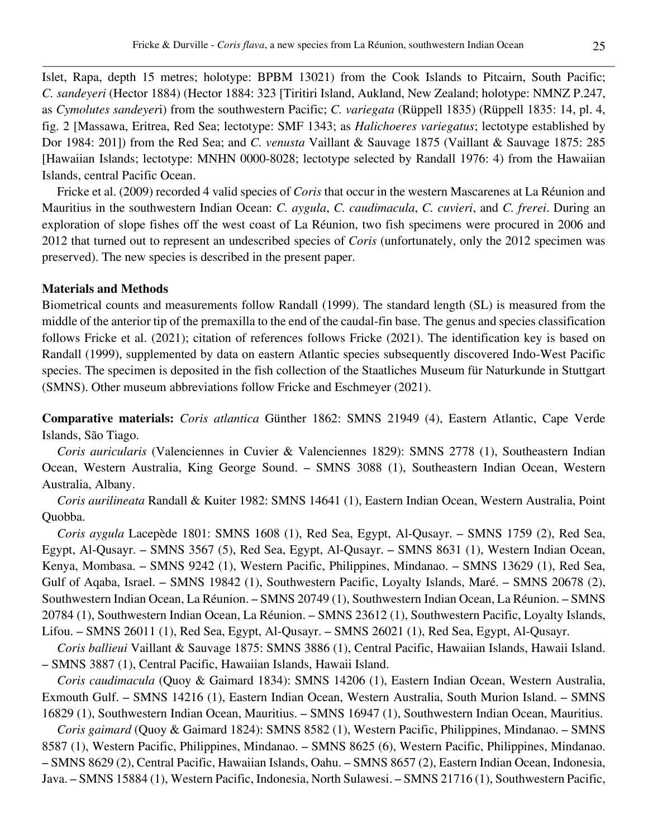Islet, Rapa, depth 15 metres; holotype: BPBM 13021) from the Cook Islands to Pitcairn, South Pacific; *C. sandeyeri* (Hector 1884) (Hector 1884: 323 [Tiritiri Island, Aukland, New Zealand; holotype: NMNZ P.247, as *Cymolutes sandeyer*i) from the southwestern Pacific; *C. variegata* (Rüppell 1835) (Rüppell 1835: 14, pl. 4, fig. 2 [Massawa, Eritrea, Red Sea; lectotype: SMF 1343; as *Halichoeres variegatus*; lectotype established by Dor 1984: 201]) from the Red Sea; and *C. venusta* Vaillant & Sauvage 1875 (Vaillant & Sauvage 1875: 285 [Hawaiian Islands; lectotype: MNHN 0000-8028; lectotype selected by Randall 1976: 4) from the Hawaiian Islands, central Pacific Ocean.

Fricke et al. (2009) recorded 4 valid species of *Coris* that occur in the western Mascarenes at La Réunion and Mauritius in the southwestern Indian Ocean: *C. aygula*, *C. caudimacula*, *C. cuvieri*, and *C. frerei*. During an exploration of slope fishes off the west coast of La Réunion, two fish specimens were procured in 2006 and 2012 that turned out to represent an undescribed species of *Coris* (unfortunately, only the 2012 specimen was preserved). The new species is described in the present paper.

#### **Materials and Methods**

Biometrical counts and measurements follow Randall (1999). The standard length (SL) is measured from the middle of the anterior tip of the premaxilla to the end of the caudal-fin base. The genus and species classification follows Fricke et al. (2021); citation of references follows Fricke (2021). The identification key is based on Randall (1999), supplemented by data on eastern Atlantic species subsequently discovered Indo-West Pacific species. The specimen is deposited in the fish collection of the Staatliches Museum für Naturkunde in Stuttgart (SMNS). Other museum abbreviations follow Fricke and Eschmeyer (2021).

**Comparative materials:** *Coris atlantica* Günther 1862: SMNS 21949 (4), Eastern Atlantic, Cape Verde Islands, São Tiago.

*Coris auricularis* (Valenciennes in Cuvier & Valenciennes 1829): SMNS 2778 (1), Southeastern Indian Ocean, Western Australia, King George Sound. – SMNS 3088 (1), Southeastern Indian Ocean, Western Australia, Albany.

*Coris aurilineata* Randall & Kuiter 1982: SMNS 14641 (1), Eastern Indian Ocean, Western Australia, Point Quobba.

*Coris aygula* Lacepède 1801: SMNS 1608 (1), Red Sea, Egypt, Al-Qusayr. – SMNS 1759 (2), Red Sea, Egypt, Al-Qusayr. – SMNS 3567 (5), Red Sea, Egypt, Al-Qusayr. – SMNS 8631 (1), Western Indian Ocean, Kenya, Mombasa. – SMNS 9242 (1), Western Pacific, Philippines, Mindanao. – SMNS 13629 (1), Red Sea, Gulf of Aqaba, Israel. – SMNS 19842 (1), Southwestern Pacific, Loyalty Islands, Maré. – SMNS 20678 (2), Southwestern Indian Ocean, La Réunion. – SMNS 20749 (1), Southwestern Indian Ocean, La Réunion. – SMNS 20784 (1), Southwestern Indian Ocean, La Réunion. – SMNS 23612 (1), Southwestern Pacific, Loyalty Islands, Lifou. – SMNS 26011 (1), Red Sea, Egypt, Al-Qusayr. – SMNS 26021 (1), Red Sea, Egypt, Al-Qusayr.

*Coris ballieui* Vaillant & Sauvage 1875: SMNS 3886 (1), Central Pacific, Hawaiian Islands, Hawaii Island. – SMNS 3887 (1), Central Pacific, Hawaiian Islands, Hawaii Island.

*Coris caudimacula* (Quoy & Gaimard 1834): SMNS 14206 (1), Eastern Indian Ocean, Western Australia, Exmouth Gulf. – SMNS 14216 (1), Eastern Indian Ocean, Western Australia, South Murion Island. – SMNS 16829 (1), Southwestern Indian Ocean, Mauritius. – SMNS 16947 (1), Southwestern Indian Ocean, Mauritius.

*Coris gaimard* (Quoy & Gaimard 1824): SMNS 8582 (1), Western Pacific, Philippines, Mindanao. – SMNS 8587 (1), Western Pacific, Philippines, Mindanao. – SMNS 8625 (6), Western Pacific, Philippines, Mindanao. – SMNS 8629 (2), Central Pacific, Hawaiian Islands, Oahu. – SMNS 8657 (2), Eastern Indian Ocean, Indonesia, Java. – SMNS 15884 (1), Western Pacific, Indonesia, North Sulawesi. – SMNS 21716 (1), Southwestern Pacific,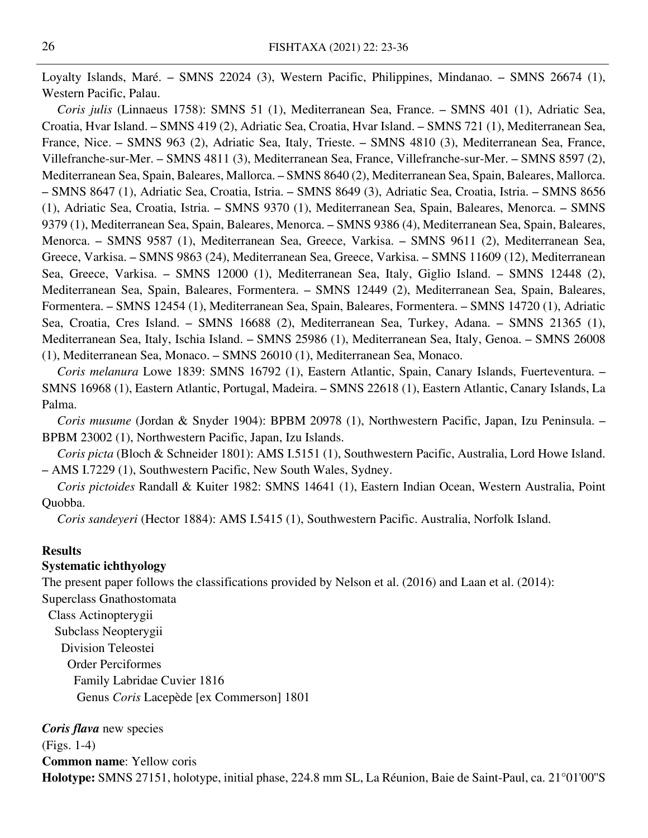Loyalty Islands, Maré. – SMNS 22024 (3), Western Pacific, Philippines, Mindanao. – SMNS 26674 (1), Western Pacific, Palau.

*Coris julis* (Linnaeus 1758): SMNS 51 (1), Mediterranean Sea, France. – SMNS 401 (1), Adriatic Sea, Croatia, Hvar Island. – SMNS 419 (2), Adriatic Sea, Croatia, Hvar Island. – SMNS 721 (1), Mediterranean Sea, France, Nice. – SMNS 963 (2), Adriatic Sea, Italy, Trieste. – SMNS 4810 (3), Mediterranean Sea, France, Villefranche-sur-Mer. – SMNS 4811 (3), Mediterranean Sea, France, Villefranche-sur-Mer. – SMNS 8597 (2), Mediterranean Sea, Spain, Baleares, Mallorca. – SMNS 8640 (2), Mediterranean Sea, Spain, Baleares, Mallorca. – SMNS 8647 (1), Adriatic Sea, Croatia, Istria. – SMNS 8649 (3), Adriatic Sea, Croatia, Istria. – SMNS 8656 (1), Adriatic Sea, Croatia, Istria. – SMNS 9370 (1), Mediterranean Sea, Spain, Baleares, Menorca. – SMNS 9379 (1), Mediterranean Sea, Spain, Baleares, Menorca. – SMNS 9386 (4), Mediterranean Sea, Spain, Baleares, Menorca. – SMNS 9587 (1), Mediterranean Sea, Greece, Varkisa. – SMNS 9611 (2), Mediterranean Sea, Greece, Varkisa. – SMNS 9863 (24), Mediterranean Sea, Greece, Varkisa. – SMNS 11609 (12), Mediterranean Sea, Greece, Varkisa. – SMNS 12000 (1), Mediterranean Sea, Italy, Giglio Island. – SMNS 12448 (2), Mediterranean Sea, Spain, Baleares, Formentera. – SMNS 12449 (2), Mediterranean Sea, Spain, Baleares, Formentera. – SMNS 12454 (1), Mediterranean Sea, Spain, Baleares, Formentera. – SMNS 14720 (1), Adriatic Sea, Croatia, Cres Island. – SMNS 16688 (2), Mediterranean Sea, Turkey, Adana. – SMNS 21365 (1), Mediterranean Sea, Italy, Ischia Island. – SMNS 25986 (1), Mediterranean Sea, Italy, Genoa. – SMNS 26008 (1), Mediterranean Sea, Monaco. – SMNS 26010 (1), Mediterranean Sea, Monaco.

*Coris melanura* Lowe 1839: SMNS 16792 (1), Eastern Atlantic, Spain, Canary Islands, Fuerteventura. – SMNS 16968 (1), Eastern Atlantic, Portugal, Madeira. – SMNS 22618 (1), Eastern Atlantic, Canary Islands, La Palma.

*Coris musume* (Jordan & Snyder 1904): BPBM 20978 (1), Northwestern Pacific, Japan, Izu Peninsula. – BPBM 23002 (1), Northwestern Pacific, Japan, Izu Islands.

*Coris picta* (Bloch & Schneider 1801): AMS I.5151 (1), Southwestern Pacific, Australia, Lord Howe Island. – AMS I.7229 (1), Southwestern Pacific, New South Wales, Sydney.

*Coris pictoides* Randall & Kuiter 1982: SMNS 14641 (1), Eastern Indian Ocean, Western Australia, Point Quobba.

*Coris sandeyeri* (Hector 1884): AMS I.5415 (1), Southwestern Pacific. Australia, Norfolk Island.

#### **Results**

#### **Systematic ichthyology**

The present paper follows the classifications provided by Nelson et al. (2016) and Laan et al. (2014):

Superclass Gnathostomata

 Class Actinopterygii Subclass Neopterygii Division Teleostei Order Perciformes Family Labridae Cuvier 1816 Genus *Coris* Lacepède [ex Commerson] 1801

*Coris flava* new species (Figs. 1-4) **Common name**: Yellow coris **Holotype:** SMNS 27151, holotype, initial phase, 224.8 mm SL, La Réunion, Baie de Saint-Paul, ca. 21°01'00''S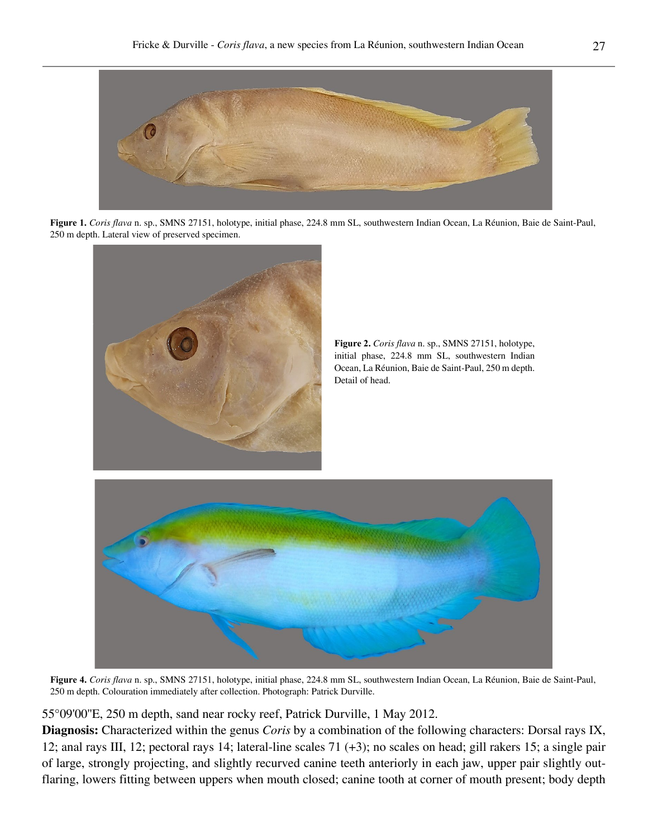

**Figure 1.** *Coris flava* n. sp., SMNS 27151, holotype, initial phase, 224.8 mm SL, southwestern Indian Ocean, La Réunion, Baie de Saint-Paul, 250 m depth. Lateral view of preserved specimen.



**Figure 2.** *Coris flava* n. sp., SMNS 27151, holotype, initial phase, 224.8 mm SL, southwestern Indian Ocean, La Réunion, Baie de Saint-Paul, 250 m depth. Detail of head.



**Figure 4.** *Coris flava* n. sp., SMNS 27151, holotype, initial phase, 224.8 mm SL, southwestern Indian Ocean, La Réunion, Baie de Saint-Paul, 250 m depth. Colouration immediately after collection. Photograph: Patrick Durville.

55°09'00''E, 250 m depth, sand near rocky reef, Patrick Durville, 1 May 2012.

**Diagnosis:** Characterized within the genus *Coris* by a combination of the following characters: Dorsal rays IX, 12; anal rays III, 12; pectoral rays 14; lateral-line scales 71 (+3); no scales on head; gill rakers 15; a single pair of large, strongly projecting, and slightly recurved canine teeth anteriorly in each jaw, upper pair slightly outflaring, lowers fitting between uppers when mouth closed; canine tooth at corner of mouth present; body depth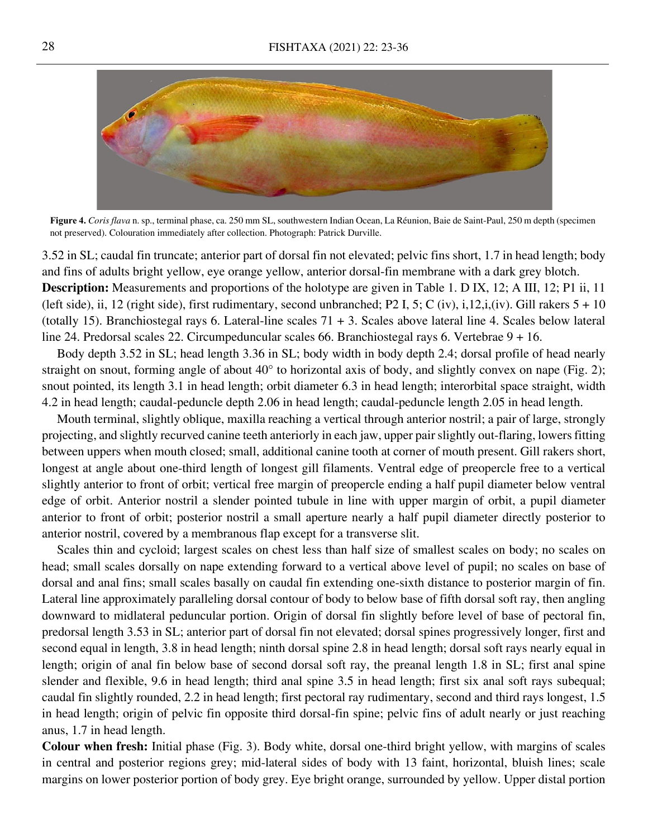

**Figure 4.** *Coris flava* n. sp., terminal phase, ca. 250 mm SL, southwestern Indian Ocean, La Réunion, Baie de Saint-Paul, 250 m depth (specimen not preserved). Colouration immediately after collection. Photograph: Patrick Durville.

3.52 in SL; caudal fin truncate; anterior part of dorsal fin not elevated; pelvic fins short, 1.7 in head length; body and fins of adults bright yellow, eye orange yellow, anterior dorsal-fin membrane with a dark grey blotch. **Description:** Measurements and proportions of the holotype are given in Table 1. D IX, 12; A III, 12; P1 ii, 11 (left side), ii, 12 (right side), first rudimentary, second unbranched; P2 I, 5; C (iv), i, 12, i, (iv). Gill rakers  $5 + 10$ (totally 15). Branchiostegal rays 6. Lateral-line scales 71 + 3. Scales above lateral line 4. Scales below lateral line 24. Predorsal scales 22. Circumpeduncular scales 66. Branchiostegal rays 6. Vertebrae 9 + 16.

Body depth 3.52 in SL; head length 3.36 in SL; body width in body depth 2.4; dorsal profile of head nearly straight on snout, forming angle of about 40° to horizontal axis of body, and slightly convex on nape (Fig. 2); snout pointed, its length 3.1 in head length; orbit diameter 6.3 in head length; interorbital space straight, width 4.2 in head length; caudal-peduncle depth 2.06 in head length; caudal-peduncle length 2.05 in head length.

Mouth terminal, slightly oblique, maxilla reaching a vertical through anterior nostril; a pair of large, strongly projecting, and slightly recurved canine teeth anteriorly in each jaw, upper pair slightly out-flaring, lowers fitting between uppers when mouth closed; small, additional canine tooth at corner of mouth present. Gill rakers short, longest at angle about one-third length of longest gill filaments. Ventral edge of preopercle free to a vertical slightly anterior to front of orbit; vertical free margin of preopercle ending a half pupil diameter below ventral edge of orbit. Anterior nostril a slender pointed tubule in line with upper margin of orbit, a pupil diameter anterior to front of orbit; posterior nostril a small aperture nearly a half pupil diameter directly posterior to anterior nostril, covered by a membranous flap except for a transverse slit.

Scales thin and cycloid; largest scales on chest less than half size of smallest scales on body; no scales on head; small scales dorsally on nape extending forward to a vertical above level of pupil; no scales on base of dorsal and anal fins; small scales basally on caudal fin extending one-sixth distance to posterior margin of fin. Lateral line approximately paralleling dorsal contour of body to below base of fifth dorsal soft ray, then angling downward to midlateral peduncular portion. Origin of dorsal fin slightly before level of base of pectoral fin, predorsal length 3.53 in SL; anterior part of dorsal fin not elevated; dorsal spines progressively longer, first and second equal in length, 3.8 in head length; ninth dorsal spine 2.8 in head length; dorsal soft rays nearly equal in length; origin of anal fin below base of second dorsal soft ray, the preanal length 1.8 in SL; first anal spine slender and flexible, 9.6 in head length; third anal spine 3.5 in head length; first six anal soft rays subequal; caudal fin slightly rounded, 2.2 in head length; first pectoral ray rudimentary, second and third rays longest, 1.5 in head length; origin of pelvic fin opposite third dorsal-fin spine; pelvic fins of adult nearly or just reaching anus, 1.7 in head length.

**Colour when fresh:** Initial phase (Fig. 3). Body white, dorsal one-third bright yellow, with margins of scales in central and posterior regions grey; mid-lateral sides of body with 13 faint, horizontal, bluish lines; scale margins on lower posterior portion of body grey. Eye bright orange, surrounded by yellow. Upper distal portion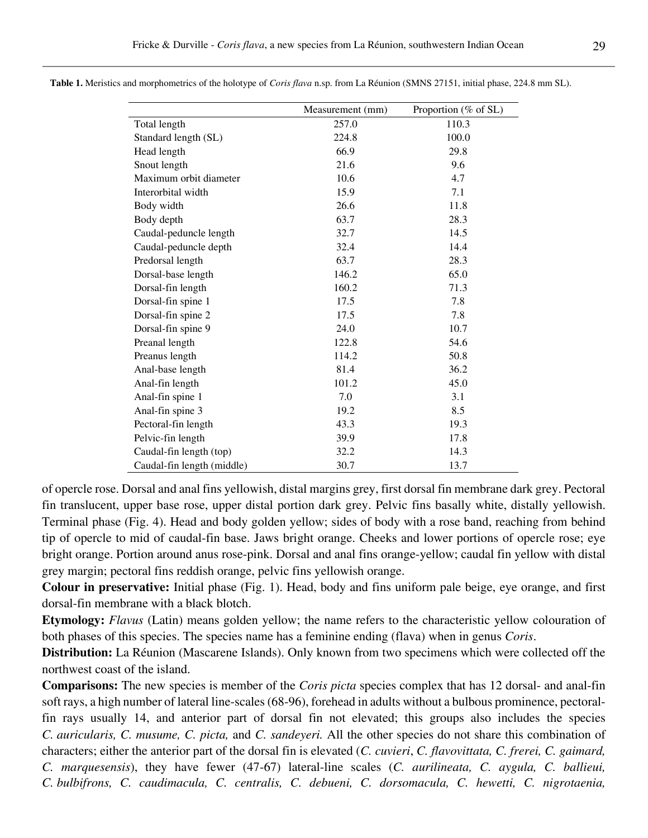|                            | Measurement (mm) | Proportion ( $%$ of SL) |
|----------------------------|------------------|-------------------------|
| Total length               | 257.0            | 110.3                   |
| Standard length (SL)       | 224.8            | 100.0                   |
| Head length                | 66.9             | 29.8                    |
| Snout length               | 21.6             | 9.6                     |
| Maximum orbit diameter     | 10.6             | 4.7                     |
| Interorbital width         | 15.9             | 7.1                     |
| Body width                 | 26.6             | 11.8                    |
| Body depth                 | 63.7             | 28.3                    |
| Caudal-peduncle length     | 32.7             | 14.5                    |
| Caudal-peduncle depth      | 32.4             | 14.4                    |
| Predorsal length           | 63.7             | 28.3                    |
| Dorsal-base length         | 146.2            | 65.0                    |
| Dorsal-fin length          | 160.2            | 71.3                    |
| Dorsal-fin spine 1         | 17.5             | 7.8                     |
| Dorsal-fin spine 2         | 17.5             | 7.8                     |
| Dorsal-fin spine 9         | 24.0             | 10.7                    |
| Preanal length             | 122.8            | 54.6                    |
| Preanus length             | 114.2            | 50.8                    |
| Anal-base length           | 81.4             | 36.2                    |
| Anal-fin length            | 101.2            | 45.0                    |
| Anal-fin spine 1           | 7.0              | 3.1                     |
| Anal-fin spine 3           | 19.2             | 8.5                     |
| Pectoral-fin length        | 43.3             | 19.3                    |
| Pelvic-fin length          | 39.9             | 17.8                    |
| Caudal-fin length (top)    | 32.2             | 14.3                    |
| Caudal-fin length (middle) | 30.7             | 13.7                    |

**Table 1.** Meristics and morphometrics of the holotype of *Coris flava* n.sp. from La Réunion (SMNS 27151, initial phase, 224.8 mm SL).

of opercle rose. Dorsal and anal fins yellowish, distal margins grey, first dorsal fin membrane dark grey. Pectoral fin translucent, upper base rose, upper distal portion dark grey. Pelvic fins basally white, distally yellowish. Terminal phase (Fig. 4). Head and body golden yellow; sides of body with a rose band, reaching from behind tip of opercle to mid of caudal-fin base. Jaws bright orange. Cheeks and lower portions of opercle rose; eye bright orange. Portion around anus rose-pink. Dorsal and anal fins orange-yellow; caudal fin yellow with distal grey margin; pectoral fins reddish orange, pelvic fins yellowish orange.

**Colour in preservative:** Initial phase (Fig. 1). Head, body and fins uniform pale beige, eye orange, and first dorsal-fin membrane with a black blotch.

**Etymology:** *Flavus* (Latin) means golden yellow; the name refers to the characteristic yellow colouration of both phases of this species. The species name has a feminine ending (flava) when in genus *Coris*.

**Distribution:** La Réunion (Mascarene Islands). Only known from two specimens which were collected off the northwest coast of the island.

**Comparisons:** The new species is member of the *Coris picta* species complex that has 12 dorsal- and anal-fin soft rays, a high number of lateral line-scales (68-96), forehead in adults without a bulbous prominence, pectoralfin rays usually 14, and anterior part of dorsal fin not elevated; this groups also includes the species *C. auricularis, C. musume, C. picta,* and *C. sandeyeri.* All the other species do not share this combination of characters; either the anterior part of the dorsal fin is elevated (*C. cuvieri*, *C. flavovittata, C. frerei, C. gaimard, C. marquesensis*), they have fewer (47-67) lateral-line scales (*C. aurilineata, C. aygula, C. ballieui, C. bulbifrons, C. caudimacula, C. centralis, C. debueni, C. dorsomacula, C. hewetti, C. nigrotaenia,*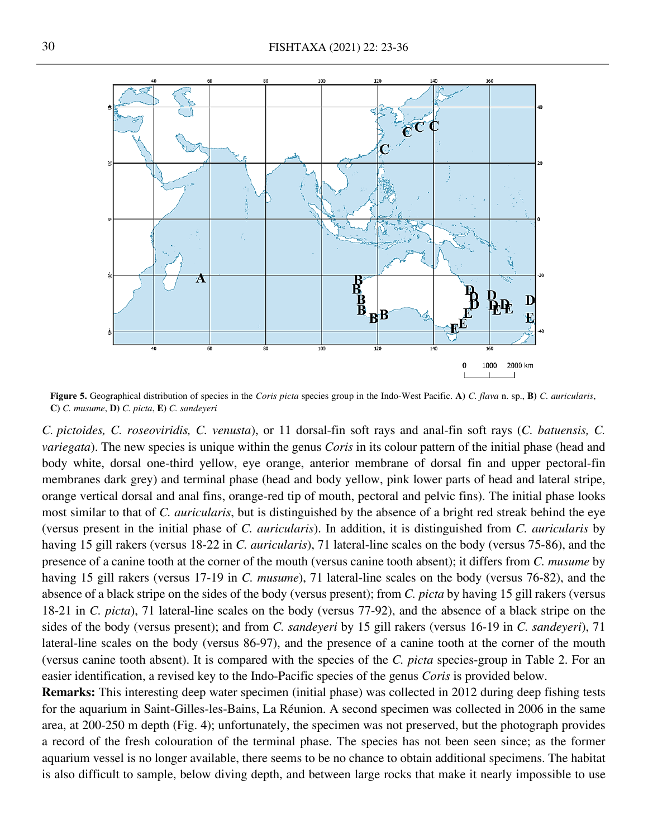

**Figure 5.** Geographical distribution of species in the *Coris picta* species group in the Indo-West Pacific. **A)** *C. flava* n. sp., **B)** *C. auricularis*, **C)** *C. musume*, **D)** *C. picta*, **E)** *C. sandeyeri*

*C. pictoides, C. roseoviridis, C. venusta*), or 11 dorsal-fin soft rays and anal-fin soft rays (*C. batuensis, C. variegata*). The new species is unique within the genus *Coris* in its colour pattern of the initial phase (head and body white, dorsal one-third yellow, eye orange, anterior membrane of dorsal fin and upper pectoral-fin membranes dark grey) and terminal phase (head and body yellow, pink lower parts of head and lateral stripe, orange vertical dorsal and anal fins, orange-red tip of mouth, pectoral and pelvic fins). The initial phase looks most similar to that of *C. auricularis*, but is distinguished by the absence of a bright red streak behind the eye (versus present in the initial phase of *C. auricularis*). In addition, it is distinguished from *C. auricularis* by having 15 gill rakers (versus 18-22 in *C. auricularis*), 71 lateral-line scales on the body (versus 75-86), and the presence of a canine tooth at the corner of the mouth (versus canine tooth absent); it differs from *C. musume* by having 15 gill rakers (versus 17-19 in *C. musume*), 71 lateral-line scales on the body (versus 76-82), and the absence of a black stripe on the sides of the body (versus present); from *C. picta* by having 15 gill rakers (versus 18-21 in *C. picta*), 71 lateral-line scales on the body (versus 77-92), and the absence of a black stripe on the sides of the body (versus present); and from *C. sandeyeri* by 15 gill rakers (versus 16-19 in *C. sandeyeri*), 71 lateral-line scales on the body (versus 86-97), and the presence of a canine tooth at the corner of the mouth (versus canine tooth absent). It is compared with the species of the *C. picta* species-group in Table 2. For an easier identification, a revised key to the Indo-Pacific species of the genus *Coris* is provided below.

**Remarks:** This interesting deep water specimen (initial phase) was collected in 2012 during deep fishing tests for the aquarium in Saint-Gilles-les-Bains, La Réunion. A second specimen was collected in 2006 in the same area, at 200-250 m depth (Fig. 4); unfortunately, the specimen was not preserved, but the photograph provides a record of the fresh colouration of the terminal phase. The species has not been seen since; as the former aquarium vessel is no longer available, there seems to be no chance to obtain additional specimens. The habitat is also difficult to sample, below diving depth, and between large rocks that make it nearly impossible to use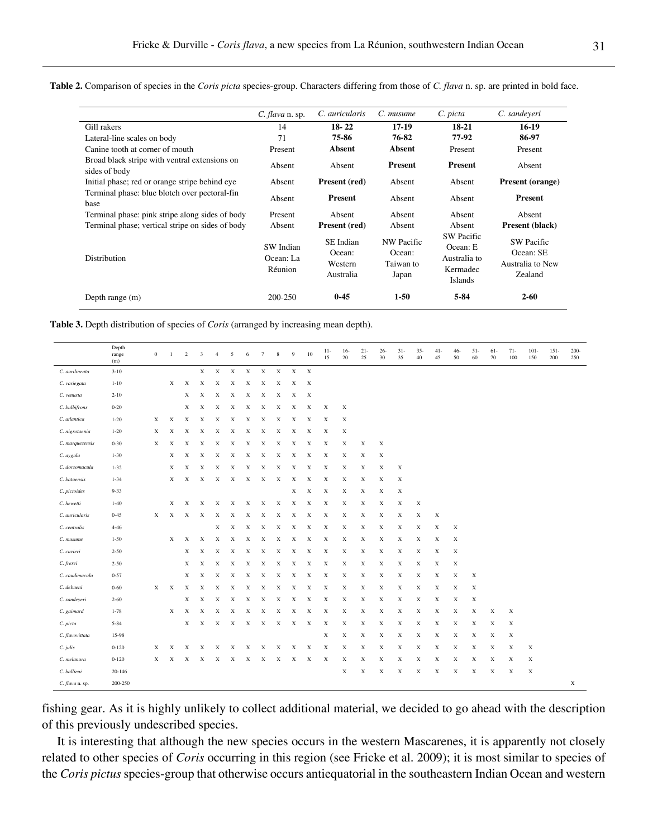**Table 2.** Comparison of species in the *Coris picta* species-group. Characters differing from those of *C. flava* n. sp. are printed in bold face.

|                                                                | C. flava n. sp.                   | C. auricularis                              | C. musume                                  | C. picta                                                             | C. sandeveri                                                  |
|----------------------------------------------------------------|-----------------------------------|---------------------------------------------|--------------------------------------------|----------------------------------------------------------------------|---------------------------------------------------------------|
| Gill rakers                                                    | 14                                | $18 - 22$                                   | 17-19                                      | 18-21                                                                | $16-19$                                                       |
| Lateral-line scales on body                                    | 71                                | 75-86                                       | 76-82                                      | 77-92                                                                | 86-97                                                         |
| Canine tooth at corner of mouth                                | Present                           | <b>Absent</b>                               | <b>Absent</b>                              | Present                                                              | Present                                                       |
| Broad black stripe with ventral extensions on<br>sides of body | Absent                            | Absent                                      | <b>Present</b>                             | <b>Present</b>                                                       | Absent                                                        |
| Initial phase; red or orange stripe behind eye                 | Absent                            | Present (red)                               | Absent                                     | Absent                                                               | <b>Present (orange)</b>                                       |
| Terminal phase: blue blotch over pectoral-fin<br>base          | Absent                            | <b>Present</b>                              | Absent                                     | Absent                                                               | <b>Present</b>                                                |
| Terminal phase: pink stripe along sides of body                | Present                           | Absent                                      | Absent                                     | Absent                                                               | Absent                                                        |
| Terminal phase; vertical stripe on sides of body               | Absent                            | Present (red)                               | Absent                                     | Absent                                                               | Present (black)                                               |
| Distribution                                                   | SW Indian<br>Ocean: La<br>Réunion | SE Indian<br>Ocean:<br>Western<br>Australia | NW Pacific<br>Ocean:<br>Taiwan to<br>Japan | <b>SW Pacific</b><br>Ocean: E<br>Australia to<br>Kermadec<br>Islands | <b>SW Pacific</b><br>Ocean: SE<br>Australia to New<br>Zealand |
| Depth range $(m)$                                              | 200-250                           | $0-45$                                      | $1-50$                                     | $5 - 84$                                                             | $2 - 60$                                                      |

| Table 3. Depth distribution of species of Coris (arranged by increasing mean depth). |  |  |  |  |  |
|--------------------------------------------------------------------------------------|--|--|--|--|--|
|--------------------------------------------------------------------------------------|--|--|--|--|--|

|                 | Depth<br>range<br>(m) | $\boldsymbol{0}$ | 1           | 2 | 3                         | $\overline{4}$ | 5           | 6                         | $\tau$      | $\,$ 8 $\,$ | 9           | 10                        | $11-$<br>15 | $16-$<br>20 | $21 -$<br>25 | $26 -$<br>30 | $31 -$<br>35 | $35 -$<br>40 | $41-$<br>45 | $46 -$<br>50 | $51 -$<br>60 | $61 -$<br>70 | $71-$<br>100 | $101 -$<br>150 | $151 -$<br>200 | $200 -$<br>250 |
|-----------------|-----------------------|------------------|-------------|---|---------------------------|----------------|-------------|---------------------------|-------------|-------------|-------------|---------------------------|-------------|-------------|--------------|--------------|--------------|--------------|-------------|--------------|--------------|--------------|--------------|----------------|----------------|----------------|
| C. aurilineata  | $3 - 10$              |                  |             |   | $\mathbf X$               | $\mathbf x$    | $\mathbf X$ | $\mathbf X$               | $\mathbf X$ | $\mathbf X$ | $\mathbf X$ | $\mathbf X$               |             |             |              |              |              |              |             |              |              |              |              |                |                |                |
| C. variegata    | $1 - 10$              |                  | X           | X | $\boldsymbol{\mathrm{X}}$ | X              | X           | X                         | X           | X           | X           | $\boldsymbol{\mathrm{x}}$ |             |             |              |              |              |              |             |              |              |              |              |                |                |                |
| C. venusta      | $2 - 10$              |                  |             | X | X                         | X              | X           | X                         | X           | X           | X           | X                         |             |             |              |              |              |              |             |              |              |              |              |                |                |                |
| C. bulbifrons   | $0 - 20$              |                  |             | X | X                         | X              | X           | X                         | X           | X           | X           | X                         | X           | X           |              |              |              |              |             |              |              |              |              |                |                |                |
| C. atlantica    | $1 - 20$              | X                | $\mathbf x$ | X | X                         | X              | X           | X                         | X           | X           | X           | X                         | X           | X           |              |              |              |              |             |              |              |              |              |                |                |                |
| C. nigrotaenia  | $1 - 20$              | X                | X           | X | X                         | X              | X           | X                         | X           | X           | X           | X                         | X           | X           |              |              |              |              |             |              |              |              |              |                |                |                |
| C. marquesensis | $0 - 30$              | Х                | X           | X | X                         | X              | X           | X                         | X           | X           | X           | X                         | X           | X           | X            | X            |              |              |             |              |              |              |              |                |                |                |
| C. aygula       | $1 - 30$              |                  | X           | X | X                         | X              | X           | X                         | X           | X           | X           | X                         | X           | X           | X            | X            |              |              |             |              |              |              |              |                |                |                |
| C. dorsomacula  | $1 - 32$              |                  | X           | X | X                         | X              | X           | X                         | X           | X           | X           | X                         | X           | X           | X            | X            | Х            |              |             |              |              |              |              |                |                |                |
| C. batuensis    | $1 - 34$              |                  | X           | X | X                         | X              | X           | X                         | X           | X           | X           | X                         | X           | X           | X            | X            | X            |              |             |              |              |              |              |                |                |                |
| C. pictoides    | $9 - 33$              |                  |             |   |                           |                |             |                           |             |             | X           | X                         | X           | X           | X            | X            | X            |              |             |              |              |              |              |                |                |                |
| C. hewetti      | $1 - 40$              |                  | X           | X | X                         | X              | X           | X                         | X           | X           | X           | X                         | X           | X           | X            | X            | X            | X            |             |              |              |              |              |                |                |                |
| C. auricularis  | $0 - 45$              | Х                | X           | Х | X                         | X              | X           | X                         | X           | X           | X           | X                         | X           | X           | X            | X            | Х            | X            | X           |              |              |              |              |                |                |                |
| C. centralis    | $4 - 46$              |                  |             |   |                           | X              | X           | X                         | X           | X           | X           | X                         | X           | X           | X            | X            | X            | $\mathbf X$  | X           | X            |              |              |              |                |                |                |
| C. musume       | $1 - 50$              |                  | X           | X | X                         | X              | X           | X                         | X           | X           | X           | X                         | X           | X           | X            | X            | X            | X            | X           | X            |              |              |              |                |                |                |
| C. cuvieri      | $2 - 50$              |                  |             | X | X                         | X              | X           | X                         | X           | X           | X           | X                         | X           | X           | X            | X            | X            | X            | X           | X            |              |              |              |                |                |                |
| C. frerei       | $2 - 50$              |                  |             | X | X                         | X              | X           | X                         | X           | X           | X           | X                         | X           | X           | X            | X            | X            | $\mathbf X$  | X           | X            |              |              |              |                |                |                |
| C. caudimacula  | $0 - 57$              |                  |             | X | X                         | X              | X           | X                         | X           | X           | X           | X                         | X           | X           | X            | X            | X            | X            | X           | X            | X            |              |              |                |                |                |
| C. debueni      | $0 - 60$              | X                | X           | X | X                         | X              | X           | X                         | X           | X           | Х           | X                         | X           | X           | X            | X            | X            | X            | X           | X            | X            |              |              |                |                |                |
| C. sandeyeri    | $2 - 60$              |                  |             | X | X                         | X              | X           | X                         | $\mathbf X$ | X           | Х           | X                         | X           | X           | X            | X            | X            | $\mathbf X$  | X           | X            | $\mathbf X$  |              |              |                |                |                |
| C. gaimard      | $1 - 78$              |                  | X           | X | X                         | X              | X           | $\boldsymbol{\mathrm{X}}$ | X           | X           | X           | X                         | X           | X           | X            | X            | X            | X            | X           | X            | X            | X            | X            |                |                |                |
| C. picta        | $5 - 84$              |                  |             | X | X                         | X              | X           | X                         | X           | X           | X           | X                         | X           | X           | $\mathbf X$  | X            | X            | $\mathbf X$  | X           | X            | X            | X            | X            |                |                |                |
| C. flavovittata | 15-98                 |                  |             |   |                           |                |             |                           |             |             |             |                           | X           | X           | X            | X            | X            | X            | X           | X            | X            | X            | X            |                |                |                |
| $C.$ julis      | $0 - 120$             | X                | X           | X | X                         | X              | X           | X                         | X           | X           | X           | X                         | X           | X           | X            | X            | X            | $\mathbf X$  | X           | X            | X            | X            | X            | X              |                |                |
| C. melanura     | $0 - 120$             | X                | X           | X | X                         | X              | X           | $\mathbf{x}$              | X           | X           | X           | X                         | X           | X           | X            | X            | X            | X            | X           | X            | X            | X            | X            | X              |                |                |
| C. ballieui     | 20-146                |                  |             |   |                           |                |             |                           |             |             |             |                           |             | X           | X            | X            | X            | $\mathbf X$  | X           | X            | Х            | X            | X            | X              |                |                |
| C. flava n. sp. | 200-250               |                  |             |   |                           |                |             |                           |             |             |             |                           |             |             |              |              |              |              |             |              |              |              |              |                |                | $\mathbf x$    |

fishing gear. As it is highly unlikely to collect additional material, we decided to go ahead with the description of this previously undescribed species.

It is interesting that although the new species occurs in the western Mascarenes, it is apparently not closely related to other species of *Coris* occurring in this region (see Fricke et al. 2009); it is most similar to species of the *Coris pictus* species-group that otherwise occurs antiequatorial in the southeastern Indian Ocean and western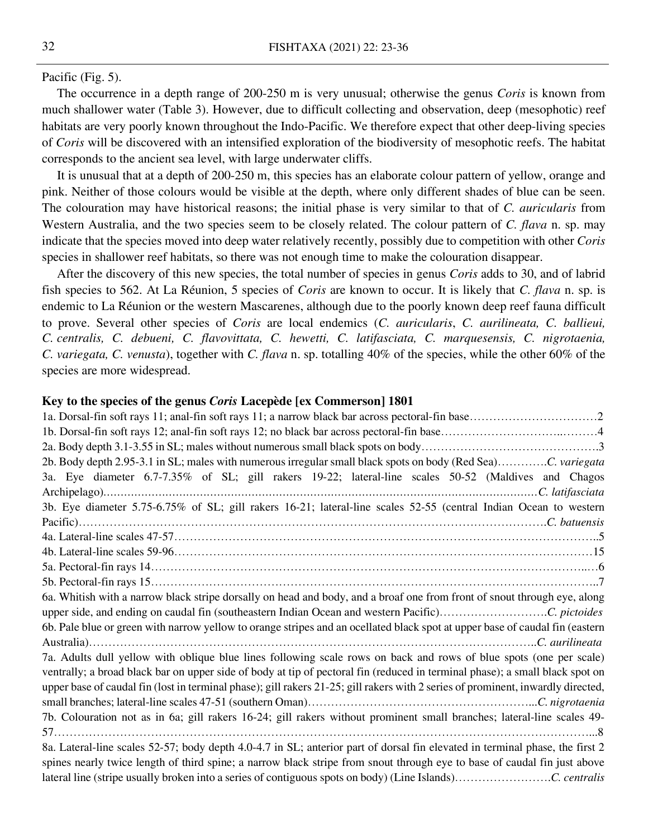#### Pacific (Fig. 5).

The occurrence in a depth range of 200-250 m is very unusual; otherwise the genus *Coris* is known from much shallower water (Table 3). However, due to difficult collecting and observation, deep (mesophotic) reef habitats are very poorly known throughout the Indo-Pacific. We therefore expect that other deep-living species of *Coris* will be discovered with an intensified exploration of the biodiversity of mesophotic reefs. The habitat corresponds to the ancient sea level, with large underwater cliffs.

It is unusual that at a depth of 200-250 m, this species has an elaborate colour pattern of yellow, orange and pink. Neither of those colours would be visible at the depth, where only different shades of blue can be seen. The colouration may have historical reasons; the initial phase is very similar to that of *C. auricularis* from Western Australia, and the two species seem to be closely related. The colour pattern of *C. flava* n. sp. may indicate that the species moved into deep water relatively recently, possibly due to competition with other *Coris* species in shallower reef habitats, so there was not enough time to make the colouration disappear.

After the discovery of this new species, the total number of species in genus *Coris* adds to 30, and of labrid fish species to 562. At La Réunion, 5 species of *Coris* are known to occur. It is likely that *C. flava* n. sp. is endemic to La Réunion or the western Mascarenes, although due to the poorly known deep reef fauna difficult to prove. Several other species of *Coris* are local endemics (*C. auricularis*, *C. aurilineata, C. ballieui, C. centralis, C. debueni, C. flavovittata, C. hewetti, C. latifasciata, C. marquesensis, C. nigrotaenia, C. variegata, C. venusta*), together with *C. flava* n. sp. totalling 40% of the species, while the other 60% of the species are more widespread.

#### **Key to the species of the genus** *Coris* **Lacepède [ex Commerson] 1801**

| 2b. Body depth 2.95-3.1 in SL; males with numerous irregular small black spots on body (Red Sea)C. variegata                     |
|----------------------------------------------------------------------------------------------------------------------------------|
| 3a. Eye diameter 6.7-7.35% of SL; gill rakers 19-22; lateral-line scales 50-52 (Maldives and Chagos                              |
|                                                                                                                                  |
| 3b. Eye diameter 5.75-6.75% of SL; gill rakers 16-21; lateral-line scales 52-55 (central Indian Ocean to western                 |
|                                                                                                                                  |
|                                                                                                                                  |
|                                                                                                                                  |
|                                                                                                                                  |
|                                                                                                                                  |
| 6a. Whitish with a narrow black stripe dorsally on head and body, and a broaf one from front of snout through eye, along         |
|                                                                                                                                  |
| 6b. Pale blue or green with narrow yellow to orange stripes and an ocellated black spot at upper base of caudal fin (eastern     |
|                                                                                                                                  |
| 7a. Adults dull yellow with oblique blue lines following scale rows on back and rows of blue spots (one per scale)               |
| ventrally; a broad black bar on upper side of body at tip of pectoral fin (reduced in terminal phase); a small black spot on     |
| upper base of caudal fin (lost in terminal phase); gill rakers 21-25; gill rakers with 2 series of prominent, inwardly directed, |
|                                                                                                                                  |
| 7b. Colouration not as in 6a; gill rakers 16-24; gill rakers without prominent small branches; lateral-line scales 49-           |
|                                                                                                                                  |
| 8a. Lateral-line scales 52-57; body depth 4.0-4.7 in SL; anterior part of dorsal fin elevated in terminal phase, the first 2     |
| spines nearly twice length of third spine; a narrow black stripe from snout through eye to base of caudal fin just above         |
|                                                                                                                                  |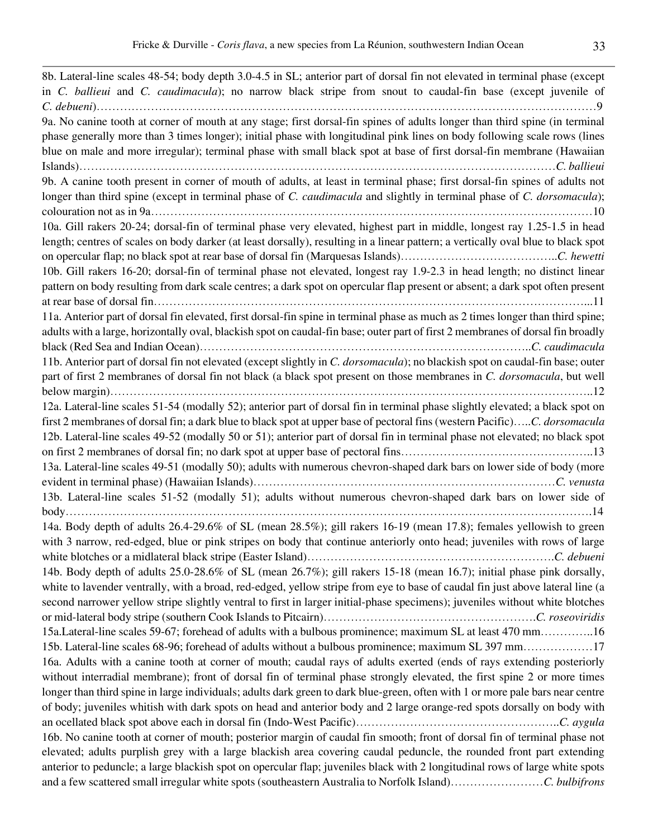8b. Lateral-line scales 48-54; body depth 3.0-4.5 in SL; anterior part of dorsal fin not elevated in terminal phase (except in *C. ballieui* and *C. caudimacula*); no narrow black stripe from snout to caudal-fin base (except juvenile of *C. debueni*)…………………………………………………………………………………………………………………9 9a. No canine tooth at corner of mouth at any stage; first dorsal-fin spines of adults longer than third spine (in terminal phase generally more than 3 times longer); initial phase with longitudinal pink lines on body following scale rows (lines blue on male and more irregular); terminal phase with small black spot at base of first dorsal-fin membrane (Hawaiian Islands)……………………………………………………………………………………………………………*C. ballieui* 9b. A canine tooth present in corner of mouth of adults, at least in terminal phase; first dorsal-fin spines of adults not longer than third spine (except in terminal phase of *C. caudimacula* and slightly in terminal phase of *C. dorsomacula*); colouration not as in 9a……………………………………………………………………………………………………10 10a. Gill rakers 20-24; dorsal-fin of terminal phase very elevated, highest part in middle, longest ray 1.25-1.5 in head length; centres of scales on body darker (at least dorsally), resulting in a linear pattern; a vertically oval blue to black spot on opercular flap; no black spot at rear base of dorsal fin (Marquesas Islands)…………………………………..*C. hewetti* 10b. Gill rakers 16-20; dorsal-fin of terminal phase not elevated, longest ray 1.9-2.3 in head length; no distinct linear pattern on body resulting from dark scale centres; a dark spot on opercular flap present or absent; a dark spot often present at rear base of dorsal fin…………………………………………………………………………………………………...11 11a. Anterior part of dorsal fin elevated, first dorsal-fin spine in terminal phase as much as 2 times longer than third spine; adults with a large, horizontally oval, blackish spot on caudal-fin base; outer part of first 2 membranes of dorsal fin broadly black (Red Sea and Indian Ocean)…………………………………………………………………………..*C. caudimacula* 11b. Anterior part of dorsal fin not elevated (except slightly in *C. dorsomacula*); no blackish spot on caudal-fin base; outer part of first 2 membranes of dorsal fin not black (a black spot present on those membranes in *C. dorsomacula*, but well below margin)……………………………………………………………………………………………………………..12 12a. Lateral-line scales 51-54 (modally 52); anterior part of dorsal fin in terminal phase slightly elevated; a black spot on first 2 membranes of dorsal fin; a dark blue to black spot at upper base of pectoral fins (western Pacific)…..*C. dorsomacula* 12b. Lateral-line scales 49-52 (modally 50 or 51); anterior part of dorsal fin in terminal phase not elevated; no black spot on first 2 membranes of dorsal fin; no dark spot at upper base of pectoral fins…………………………………………………13 13a. Lateral-line scales 49-51 (modally 50); adults with numerous chevron-shaped dark bars on lower side of body (more evident in terminal phase) (Hawaiian Islands)……………………………………………………………………*C. venusta* 13b. Lateral-line scales 51-52 (modally 51); adults without numerous chevron-shaped dark bars on lower side of body……………………………………………………………………………………………………………………….14 14a. Body depth of adults 26.4-29.6% of SL (mean 28.5%); gill rakers 16-19 (mean 17.8); females yellowish to green with 3 narrow, red-edged, blue or pink stripes on body that continue anteriorly onto head; juveniles with rows of large white blotches or a midlateral black stripe (Easter Island)……………………………………………………….*C. debueni* 14b. Body depth of adults 25.0-28.6% of SL (mean 26.7%); gill rakers 15-18 (mean 16.7); initial phase pink dorsally, white to lavender ventrally, with a broad, red-edged, yellow stripe from eye to base of caudal fin just above lateral line (a second narrower yellow stripe slightly ventral to first in larger initial-phase specimens); juveniles without white blotches or mid-lateral body stripe (southern Cook Islands to Pitcairn)……………………………………………….*C. roseoviridis* 15a.Lateral-line scales 59-67; forehead of adults with a bulbous prominence; maximum SL at least 470 mm…………..16 15b. Lateral-line scales 68-96; forehead of adults without a bulbous prominence; maximum SL 397 mm………………17 16a. Adults with a canine tooth at corner of mouth; caudal rays of adults exerted (ends of rays extending posteriorly without interradial membrane); front of dorsal fin of terminal phase strongly elevated, the first spine 2 or more times longer than third spine in large individuals; adults dark green to dark blue-green, often with 1 or more pale bars near centre of body; juveniles whitish with dark spots on head and anterior body and 2 large orange-red spots dorsally on body with an ocellated black spot above each in dorsal fin (Indo-West Pacific)……………………………………………..*C. aygula* 16b. No canine tooth at corner of mouth; posterior margin of caudal fin smooth; front of dorsal fin of terminal phase not elevated; adults purplish grey with a large blackish area covering caudal peduncle, the rounded front part extending anterior to peduncle; a large blackish spot on opercular flap; juveniles black with 2 longitudinal rows of large white spots and a few scattered small irregular white spots (southeastern Australia to Norfolk Island)……………………*C. bulbifrons*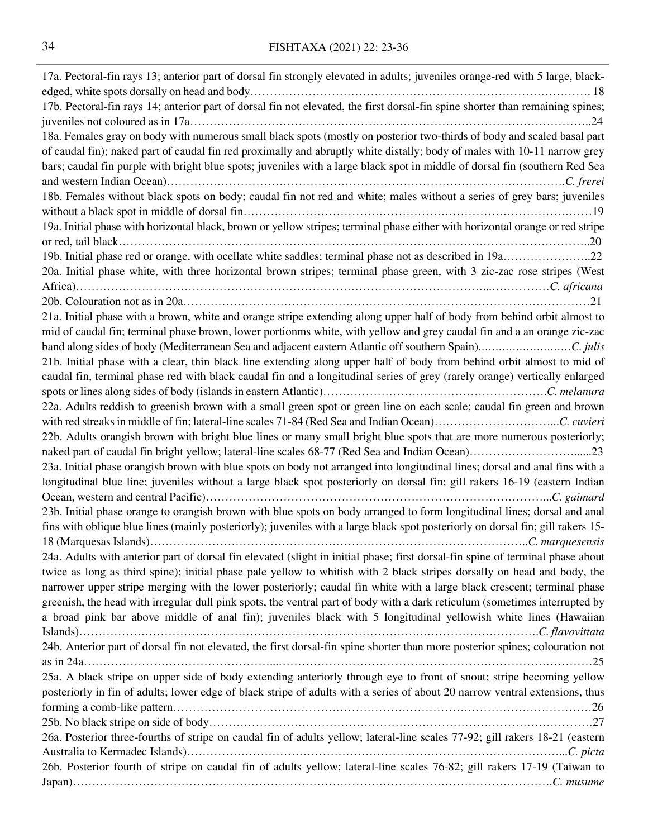| 17a. Pectoral-fin rays 13; anterior part of dorsal fin strongly elevated in adults; juveniles orange-red with 5 large, black-   |
|---------------------------------------------------------------------------------------------------------------------------------|
|                                                                                                                                 |
| 17b. Pectoral-fin rays 14; anterior part of dorsal fin not elevated, the first dorsal-fin spine shorter than remaining spines;  |
|                                                                                                                                 |
| 18a. Females gray on body with numerous small black spots (mostly on posterior two-thirds of body and scaled basal part         |
| of caudal fin); naked part of caudal fin red proximally and abruptly white distally; body of males with 10-11 narrow grey       |
| bars; caudal fin purple with bright blue spots; juveniles with a large black spot in middle of dorsal fin (southern Red Sea     |
|                                                                                                                                 |
| 18b. Females without black spots on body; caudal fin not red and white; males without a series of grey bars; juveniles          |
|                                                                                                                                 |
| 19a. Initial phase with horizontal black, brown or yellow stripes; terminal phase either with horizontal orange or red stripe   |
|                                                                                                                                 |
|                                                                                                                                 |
| 20a. Initial phase white, with three horizontal brown stripes; terminal phase green, with 3 zic-zac rose stripes (West          |
|                                                                                                                                 |
|                                                                                                                                 |
| 21a. Initial phase with a brown, white and orange stripe extending along upper half of body from behind orbit almost to         |
| mid of caudal fin; terminal phase brown, lower portionms white, with yellow and grey caudal fin and a an orange zic-zac         |
|                                                                                                                                 |
|                                                                                                                                 |
| 21b. Initial phase with a clear, thin black line extending along upper half of body from behind orbit almost to mid of          |
| caudal fin, terminal phase red with black caudal fin and a longitudinal series of grey (rarely orange) vertically enlarged      |
|                                                                                                                                 |
| 22a. Adults reddish to greenish brown with a small green spot or green line on each scale; caudal fin green and brown           |
|                                                                                                                                 |
| 22b. Adults orangish brown with bright blue lines or many small bright blue spots that are more numerous posteriorly;           |
| naked part of caudal fin bright yellow; lateral-line scales 68-77 (Red Sea and Indian Ocean)23                                  |
| 23a. Initial phase orangish brown with blue spots on body not arranged into longitudinal lines; dorsal and anal fins with a     |
| longitudinal blue line; juveniles without a large black spot posteriorly on dorsal fin; gill rakers 16-19 (eastern Indian       |
|                                                                                                                                 |
| 23b. Initial phase orange to orangish brown with blue spots on body arranged to form longitudinal lines; dorsal and anal        |
| fins with oblique blue lines (mainly posteriorly); juveniles with a large black spot posteriorly on dorsal fin; gill rakers 15- |
|                                                                                                                                 |
| 24a. Adults with anterior part of dorsal fin elevated (slight in initial phase; first dorsal-fin spine of terminal phase about  |
| twice as long as third spine); initial phase pale yellow to whitish with 2 black stripes dorsally on head and body, the         |
| narrower upper stripe merging with the lower posteriorly; caudal fin white with a large black crescent; terminal phase          |
| greenish, the head with irregular dull pink spots, the ventral part of body with a dark reticulum (sometimes interrupted by     |
| a broad pink bar above middle of anal fin); juveniles black with 5 longitudinal yellowish white lines (Hawaiian                 |
|                                                                                                                                 |
| 24b. Anterior part of dorsal fin not elevated, the first dorsal-fin spine shorter than more posterior spines; colouration not   |
|                                                                                                                                 |
| 25a. A black stripe on upper side of body extending anteriorly through eye to front of snout; stripe becoming yellow            |
| posteriorly in fin of adults; lower edge of black stripe of adults with a series of about 20 narrow ventral extensions, thus    |
|                                                                                                                                 |
|                                                                                                                                 |
| 26a. Posterior three-fourths of stripe on caudal fin of adults yellow; lateral-line scales 77-92; gill rakers 18-21 (eastern    |
|                                                                                                                                 |
| 26b. Posterior fourth of stripe on caudal fin of adults yellow; lateral-line scales 76-82; gill rakers 17-19 (Taiwan to         |
|                                                                                                                                 |
|                                                                                                                                 |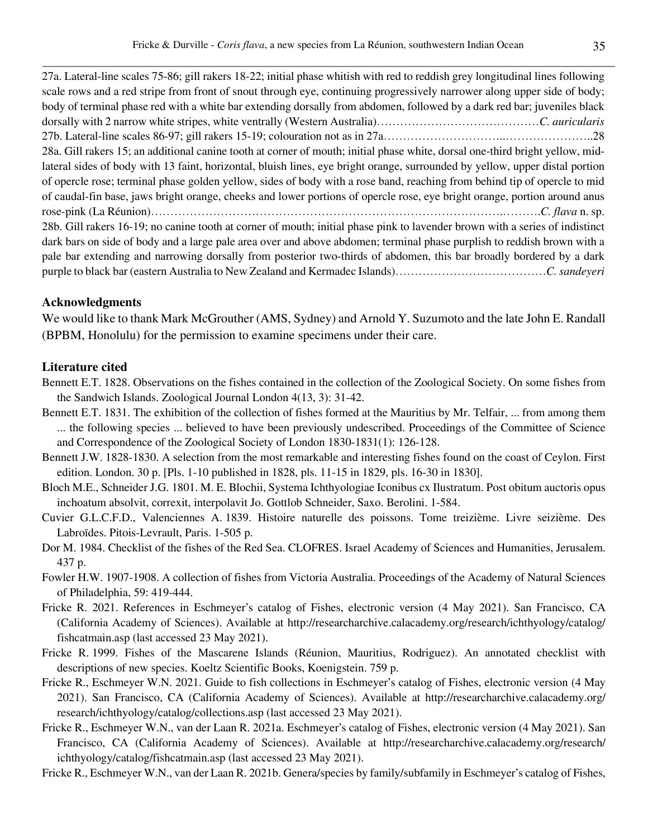27a. Lateral-line scales 75-86; gill rakers 18-22; initial phase whitish with red to reddish grey longitudinal lines following scale rows and a red stripe from front of snout through eye, continuing progressively narrower along upper side of body; body of terminal phase red with a white bar extending dorsally from abdomen, followed by a dark red bar; juveniles black dorsally with 2 narrow white stripes, white ventrally (Western Australia)……………………………………*C. auricularis*  27b. Lateral-line scales 86-97; gill rakers 15-19; colouration not as in 27a…………………………..…………………..28 28a. Gill rakers 15; an additional canine tooth at corner of mouth; initial phase white, dorsal one-third bright yellow, midlateral sides of body with 13 faint, horizontal, bluish lines, eye bright orange, surrounded by yellow, upper distal portion of opercle rose; terminal phase golden yellow, sides of body with a rose band, reaching from behind tip of opercle to mid of caudal-fin base, jaws bright orange, cheeks and lower portions of opercle rose, eye bright orange, portion around anus rose-pink (La Réunion)……………………………………………………………………………….……….*C. flava* n. sp. 28b. Gill rakers 16-19; no canine tooth at corner of mouth; initial phase pink to lavender brown with a series of indistinct dark bars on side of body and a large pale area over and above abdomen; terminal phase purplish to reddish brown with a pale bar extending and narrowing dorsally from posterior two-thirds of abdomen, this bar broadly bordered by a dark purple to black bar (eastern Australia to New Zealand and Kermadec Islands)…………………………………*C. sandeyeri*

## **Acknowledgments**

We would like to thank Mark McGrouther (AMS, Sydney) and Arnold Y. Suzumoto and the late John E. Randall (BPBM, Honolulu) for the permission to examine specimens under their care.

## **Literature cited**

- Bennett E.T. 1828. Observations on the fishes contained in the collection of the Zoological Society. On some fishes from the Sandwich Islands. Zoological Journal London 4(13, 3): 31-42.
- Bennett E.T. 1831. The exhibition of the collection of fishes formed at the Mauritius by Mr. Telfair, ... from among them ... the following species ... believed to have been previously undescribed. Proceedings of the Committee of Science and Correspondence of the Zoological Society of London 1830-1831(1): 126-128.
- Bennett J.W. 1828-1830. A selection from the most remarkable and interesting fishes found on the coast of Ceylon. First edition. London. 30 p. [Pls. 1-10 published in 1828, pls. 11-15 in 1829, pls. 16-30 in 1830].
- Bloch M.E., Schneider J.G. 1801. M. E. Blochii, Systema Ichthyologiae Iconibus cx Ilustratum. Post obitum auctoris opus inchoatum absolvit, correxit, interpolavit Jo. Gottlob Schneider, Saxo. Berolini. 1-584.
- Cuvier G.L.C.F.D., Valenciennes A. 1839. Histoire naturelle des poissons. Tome treizième. Livre seizième. Des Labroïdes. Pitois-Levrault, Paris. 1-505 p.
- Dor M. 1984. Checklist of the fishes of the Red Sea. CLOFRES. Israel Academy of Sciences and Humanities, Jerusalem. 437 p.
- Fowler H.W. 1907-1908. A collection of fishes from Victoria Australia. Proceedings of the Academy of Natural Sciences of Philadelphia, 59: 419-444.
- Fricke R. 2021. References in Eschmeyer's catalog of Fishes, electronic version (4 May 2021). San Francisco, CA (California Academy of Sciences). Available at http://researcharchive.calacademy.org/research/ichthyology/catalog/ fishcatmain.asp (last accessed 23 May 2021).
- Fricke R. 1999. Fishes of the Mascarene Islands (Réunion, Mauritius, Rodriguez). An annotated checklist with descriptions of new species. Koeltz Scientific Books, Koenigstein. 759 p.
- Fricke R., Eschmeyer W.N. 2021. Guide to fish collections in Eschmeyer's catalog of Fishes, electronic version (4 May 2021). San Francisco, CA (California Academy of Sciences). Available at http://researcharchive.calacademy.org/ research/ichthyology/catalog/collections.asp (last accessed 23 May 2021).
- Fricke R., Eschmeyer W.N., van der Laan R. 2021a. Eschmeyer's catalog of Fishes, electronic version (4 May 2021). San Francisco, CA (California Academy of Sciences). Available at http://researcharchive.calacademy.org/research/ ichthyology/catalog/fishcatmain.asp (last accessed 23 May 2021).
- Fricke R., Eschmeyer W.N., van der Laan R. 2021b. Genera/species by family/subfamily in Eschmeyer's catalog of Fishes,